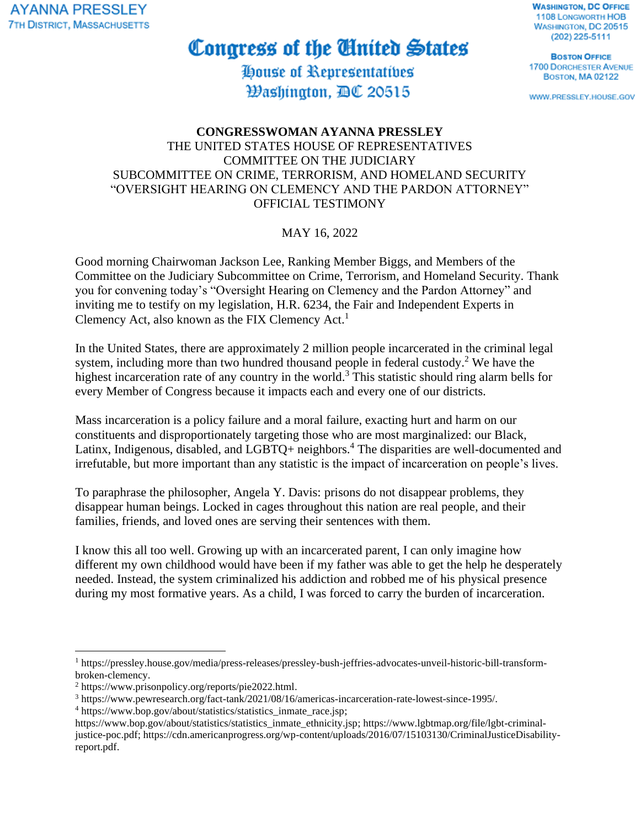**AYANNA PRESSLEY 7TH DISTRICT, MASSACHUSETTS** 

## Congress of the United States

House of Representatives Hashinαton, BC 20515

**WASHINGTON, DC OFFICE 1108 LONGWORTH HOB** WASHINGTON, DC 20515 (202) 225-5111

**BOSTON OFFICE 1700 DORCHESTER AVENUE BOSTON, MA 02122** 

WWW.PRESSLEY.HOUSE.GOV

## **CONGRESSWOMAN AYANNA PRESSLEY** THE UNITED STATES HOUSE OF REPRESENTATIVES COMMITTEE ON THE JUDICIARY SUBCOMMITTEE ON CRIME, TERRORISM, AND HOMELAND SECURITY "OVERSIGHT HEARING ON CLEMENCY AND THE PARDON ATTORNEY" OFFICIAL TESTIMONY

## MAY 16, 2022

Good morning Chairwoman Jackson Lee, Ranking Member Biggs, and Members of the Committee on the Judiciary Subcommittee on Crime, Terrorism, and Homeland Security. Thank you for convening today's "Oversight Hearing on Clemency and the Pardon Attorney" and inviting me to testify on my legislation, H.R. 6234, the Fair and Independent Experts in Clemency Act, also known as the FIX Clemency Act.<sup>1</sup>

In the United States, there are approximately 2 million people incarcerated in the criminal legal system, including more than two hundred thousand people in federal custody.<sup>2</sup> We have the highest incarceration rate of any country in the world.<sup>3</sup> This statistic should ring alarm bells for every Member of Congress because it impacts each and every one of our districts.

Mass incarceration is a policy failure and a moral failure, exacting hurt and harm on our constituents and disproportionately targeting those who are most marginalized: our Black, Latinx, Indigenous, disabled, and LGBTQ+ neighbors.<sup>4</sup> The disparities are well-documented and irrefutable, but more important than any statistic is the impact of incarceration on people's lives.

To paraphrase the philosopher, Angela Y. Davis: prisons do not disappear problems, they disappear human beings. Locked in cages throughout this nation are real people, and their families, friends, and loved ones are serving their sentences with them.

I know this all too well. Growing up with an incarcerated parent, I can only imagine how different my own childhood would have been if my father was able to get the help he desperately needed. Instead, the system criminalized his addiction and robbed me of his physical presence during my most formative years. As a child, I was forced to carry the burden of incarceration.

<sup>1</sup> https://pressley.house.gov/media/press-releases/pressley-bush-jeffries-advocates-unveil-historic-bill-transformbroken-clemency.

<sup>2</sup> https://www.prisonpolicy.org/reports/pie2022.html.

<sup>3</sup> https://www.pewresearch.org/fact-tank/2021/08/16/americas-incarceration-rate-lowest-since-1995/.

<sup>4</sup> https://www.bop.gov/about/statistics/statistics\_inmate\_race.jsp;

https://www.bop.gov/about/statistics/statistics\_inmate\_ethnicity.jsp; https://www.lgbtmap.org/file/lgbt-criminaljustice-poc.pdf; https://cdn.americanprogress.org/wp-content/uploads/2016/07/15103130/CriminalJusticeDisabilityreport.pdf.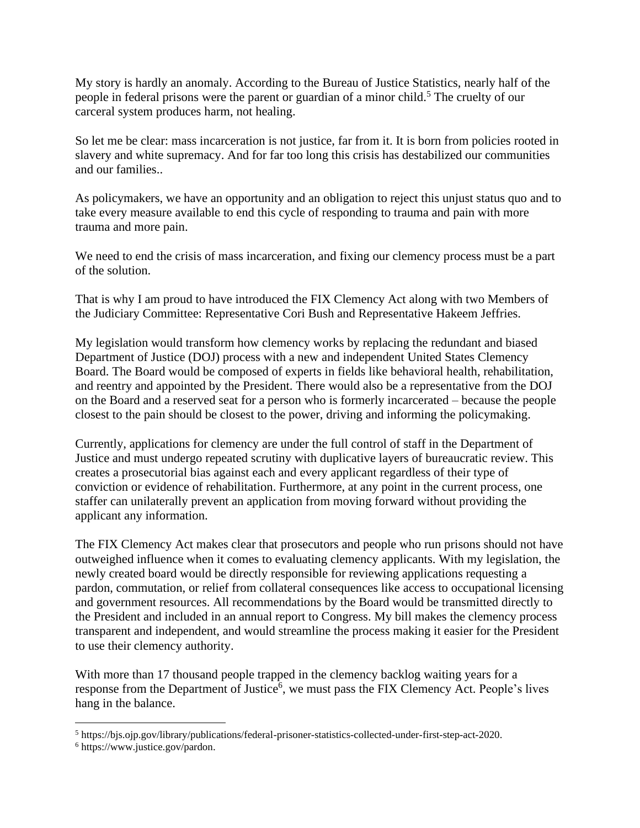My story is hardly an anomaly. According to the Bureau of Justice Statistics, nearly half of the people in federal prisons were the parent or guardian of a minor child.<sup>5</sup> The cruelty of our carceral system produces harm, not healing.

So let me be clear: mass incarceration is not justice, far from it. It is born from policies rooted in slavery and white supremacy. And for far too long this crisis has destabilized our communities and our families..

As policymakers, we have an opportunity and an obligation to reject this unjust status quo and to take every measure available to end this cycle of responding to trauma and pain with more trauma and more pain.

We need to end the crisis of mass incarceration, and fixing our clemency process must be a part of the solution.

That is why I am proud to have introduced the FIX Clemency Act along with two Members of the Judiciary Committee: Representative Cori Bush and Representative Hakeem Jeffries.

My legislation would transform how clemency works by replacing the redundant and biased Department of Justice (DOJ) process with a new and independent United States Clemency Board. The Board would be composed of experts in fields like behavioral health, rehabilitation, and reentry and appointed by the President. There would also be a representative from the DOJ on the Board and a reserved seat for a person who is formerly incarcerated – because the people closest to the pain should be closest to the power, driving and informing the policymaking.

Currently, applications for clemency are under the full control of staff in the Department of Justice and must undergo repeated scrutiny with duplicative layers of bureaucratic review. This creates a prosecutorial bias against each and every applicant regardless of their type of conviction or evidence of rehabilitation. Furthermore, at any point in the current process, one staffer can unilaterally prevent an application from moving forward without providing the applicant any information.

The FIX Clemency Act makes clear that prosecutors and people who run prisons should not have outweighed influence when it comes to evaluating clemency applicants. With my legislation, the newly created board would be directly responsible for reviewing applications requesting a pardon, commutation, or relief from collateral consequences like access to occupational licensing and government resources. All recommendations by the Board would be transmitted directly to the President and included in an annual report to Congress. My bill makes the clemency process transparent and independent, and would streamline the process making it easier for the President to use their clemency authority.

With more than 17 thousand people trapped in the clemency backlog waiting years for a response from the Department of Justice<sup>6</sup>, we must pass the FIX Clemency Act. People's lives hang in the balance.

<sup>5</sup> https://bjs.ojp.gov/library/publications/federal-prisoner-statistics-collected-under-first-step-act-2020.

<sup>6</sup> https://www.justice.gov/pardon.